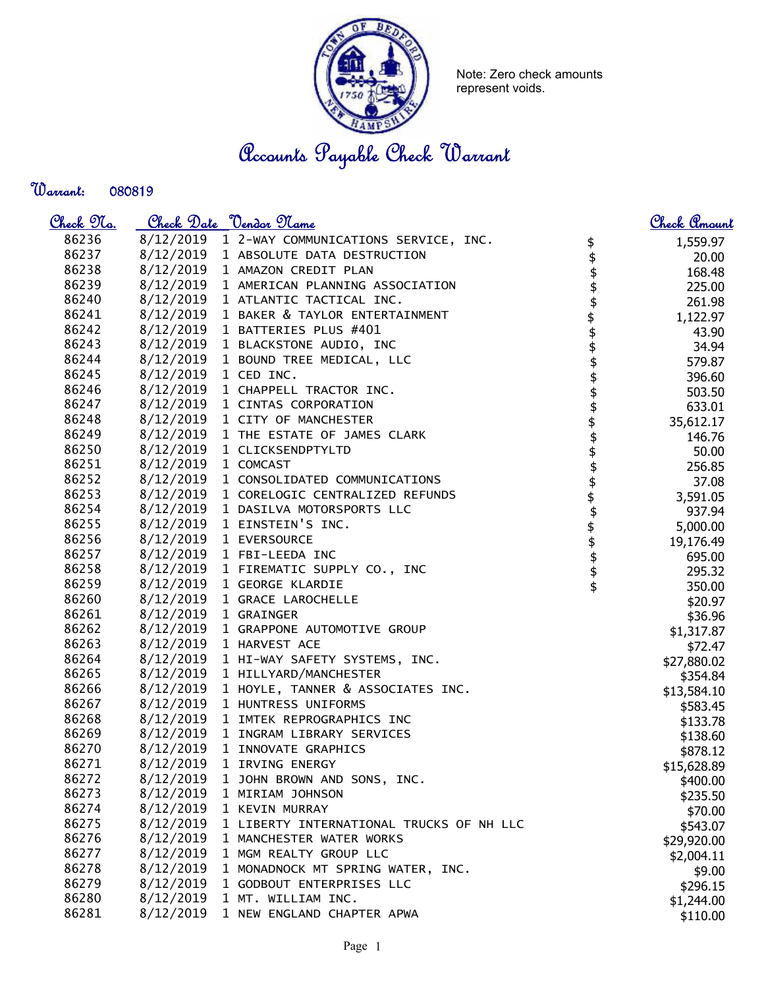

Note: Zero check amounts represent voids.

Accounts Payable Check Warrant

Warrant: 

| 86236<br>8/12/2019 1 2-WAY COMMUNICATIONS SERVICE, INC.<br>1,559.97<br>\$\$\$\$\$\$\$\$\$\$\$\$\$\$\$\$\$\$\$\$\$\$\$\$<br>86237<br>8/12/2019 1 ABSOLUTE DATA DESTRUCTION<br>20.00<br>86238<br>8/12/2019 1 AMAZON CREDIT PLAN<br>168.48<br>86239<br>8/12/2019 1 AMERICAN PLANNING ASSOCIATION<br>225.00<br>86240<br>8/12/2019 1 ATLANTIC TACTICAL INC.<br>261.98<br>86241<br>8/12/2019 1 BAKER & TAYLOR ENTERTAINMENT<br>1,122.97<br>86242<br>8/12/2019 1 BATTERIES PLUS #401<br>43.90<br>86243<br>8/12/2019 1 BLACKSTONE AUDIO, INC<br>34.94<br>86244<br>8/12/2019 1 BOUND TREE MEDICAL, LLC<br>579.87<br>86245<br>8/12/2019 1 CED INC.<br>396.60<br>86246<br>8/12/2019 1 CHAPPELL TRACTOR INC.<br>503.50<br>86247<br>8/12/2019 1 CINTAS CORPORATION<br>633.01<br>86248<br>8/12/2019 1 CITY OF MANCHESTER<br>35,612.17<br>86249<br>8/12/2019 1 THE ESTATE OF JAMES CLARK<br>146.76<br>86250<br>8/12/2019 1 CLICKSENDPTYLTD<br>50.00<br>86251<br>8/12/2019 1 COMCAST<br>256.85<br>86252<br>8/12/2019 1 CONSOLIDATED COMMUNICATIONS<br>37.08<br>86253<br>8/12/2019 1 CORELOGIC CENTRALIZED REFUNDS<br>3,591.05<br>86254<br>8/12/2019 1 DASILVA MOTORSPORTS LLC<br>937.94<br>86255<br>8/12/2019 1 EINSTEIN'S INC.<br>5,000.00<br>86256<br>8/12/2019 1 EVERSOURCE<br>19,176.49<br>86257<br>8/12/2019 1 FBI-LEEDA INC<br>695.00<br>86258<br>8/12/2019 1 FIREMATIC SUPPLY CO., INC<br>295.32<br>86259<br>8/12/2019 1 GEORGE KLARDIE<br>350.00<br>86260<br>8/12/2019 1 GRACE LAROCHELLE<br>\$20.97<br>86261<br>8/12/2019 1 GRAINGER<br>\$36.96<br>86262<br>8/12/2019 1 GRAPPONE AUTOMOTIVE GROUP<br>\$1,317.87<br>86263<br>8/12/2019 1 HARVEST ACE<br>\$72.47<br>86264<br>8/12/2019 1 HI-WAY SAFETY SYSTEMS, INC.<br>\$27,880.02<br>86265<br>8/12/2019 1 HILLYARD/MANCHESTER<br>\$354.84<br>86266<br>8/12/2019 1 HOYLE, TANNER & ASSOCIATES INC.<br>\$13,584.10<br>86267<br>8/12/2019 1 HUNTRESS UNIFORMS<br>\$583.45<br>86268<br>8/12/2019 1 IMTEK REPROGRAPHICS INC<br>\$133.78<br>86269<br>8/12/2019 1 INGRAM LIBRARY SERVICES<br>\$138.60<br>86270<br>8/12/2019 1 INNOVATE GRAPHICS<br>\$878.12<br>86271<br>8/12/2019<br>1 IRVING ENERGY<br>\$15,628.89<br>8/12/2019<br>86272<br>1 JOHN BROWN AND SONS, INC.<br>\$400.00<br>86273<br>8/12/2019<br>1 MIRIAM JOHNSON<br>\$235.50<br>8/12/2019<br>86274<br>1 KEVIN MURRAY<br>\$70.00<br>8/12/2019<br>86275<br>1 LIBERTY INTERNATIONAL TRUCKS OF NH LLC<br>\$543.07<br>86276<br>8/12/2019<br>1 MANCHESTER WATER WORKS<br>\$29,920.00<br>8/12/2019<br>86277<br>1 MGM REALTY GROUP LLC<br>\$2,004.11<br>86278<br>8/12/2019<br>1 MONADNOCK MT SPRING WATER, INC.<br>\$9.00<br>86279<br>8/12/2019<br>1 GODBOUT ENTERPRISES LLC<br>\$296.15<br>86280<br>8/12/2019<br>1 MT. WILLIAM INC.<br>\$1,244.00<br>86281<br>8/12/2019<br>1 NEW ENGLAND CHAPTER APWA<br>\$110.00 | <u>Check No.</u> | Check Date "Vendor Name" | <u>Check Amount</u> |
|------------------------------------------------------------------------------------------------------------------------------------------------------------------------------------------------------------------------------------------------------------------------------------------------------------------------------------------------------------------------------------------------------------------------------------------------------------------------------------------------------------------------------------------------------------------------------------------------------------------------------------------------------------------------------------------------------------------------------------------------------------------------------------------------------------------------------------------------------------------------------------------------------------------------------------------------------------------------------------------------------------------------------------------------------------------------------------------------------------------------------------------------------------------------------------------------------------------------------------------------------------------------------------------------------------------------------------------------------------------------------------------------------------------------------------------------------------------------------------------------------------------------------------------------------------------------------------------------------------------------------------------------------------------------------------------------------------------------------------------------------------------------------------------------------------------------------------------------------------------------------------------------------------------------------------------------------------------------------------------------------------------------------------------------------------------------------------------------------------------------------------------------------------------------------------------------------------------------------------------------------------------------------------------------------------------------------------------------------------------------------------------------------------------------------------------------------------------------------------------------------------------------------------------------------------------------------------------------------------------------------------------------------------------------------------------------------------------------------------------------------------------------------------------------------------|------------------|--------------------------|---------------------|
|                                                                                                                                                                                                                                                                                                                                                                                                                                                                                                                                                                                                                                                                                                                                                                                                                                                                                                                                                                                                                                                                                                                                                                                                                                                                                                                                                                                                                                                                                                                                                                                                                                                                                                                                                                                                                                                                                                                                                                                                                                                                                                                                                                                                                                                                                                                                                                                                                                                                                                                                                                                                                                                                                                                                                                                                            |                  |                          |                     |
|                                                                                                                                                                                                                                                                                                                                                                                                                                                                                                                                                                                                                                                                                                                                                                                                                                                                                                                                                                                                                                                                                                                                                                                                                                                                                                                                                                                                                                                                                                                                                                                                                                                                                                                                                                                                                                                                                                                                                                                                                                                                                                                                                                                                                                                                                                                                                                                                                                                                                                                                                                                                                                                                                                                                                                                                            |                  |                          |                     |
|                                                                                                                                                                                                                                                                                                                                                                                                                                                                                                                                                                                                                                                                                                                                                                                                                                                                                                                                                                                                                                                                                                                                                                                                                                                                                                                                                                                                                                                                                                                                                                                                                                                                                                                                                                                                                                                                                                                                                                                                                                                                                                                                                                                                                                                                                                                                                                                                                                                                                                                                                                                                                                                                                                                                                                                                            |                  |                          |                     |
|                                                                                                                                                                                                                                                                                                                                                                                                                                                                                                                                                                                                                                                                                                                                                                                                                                                                                                                                                                                                                                                                                                                                                                                                                                                                                                                                                                                                                                                                                                                                                                                                                                                                                                                                                                                                                                                                                                                                                                                                                                                                                                                                                                                                                                                                                                                                                                                                                                                                                                                                                                                                                                                                                                                                                                                                            |                  |                          |                     |
|                                                                                                                                                                                                                                                                                                                                                                                                                                                                                                                                                                                                                                                                                                                                                                                                                                                                                                                                                                                                                                                                                                                                                                                                                                                                                                                                                                                                                                                                                                                                                                                                                                                                                                                                                                                                                                                                                                                                                                                                                                                                                                                                                                                                                                                                                                                                                                                                                                                                                                                                                                                                                                                                                                                                                                                                            |                  |                          |                     |
|                                                                                                                                                                                                                                                                                                                                                                                                                                                                                                                                                                                                                                                                                                                                                                                                                                                                                                                                                                                                                                                                                                                                                                                                                                                                                                                                                                                                                                                                                                                                                                                                                                                                                                                                                                                                                                                                                                                                                                                                                                                                                                                                                                                                                                                                                                                                                                                                                                                                                                                                                                                                                                                                                                                                                                                                            |                  |                          |                     |
|                                                                                                                                                                                                                                                                                                                                                                                                                                                                                                                                                                                                                                                                                                                                                                                                                                                                                                                                                                                                                                                                                                                                                                                                                                                                                                                                                                                                                                                                                                                                                                                                                                                                                                                                                                                                                                                                                                                                                                                                                                                                                                                                                                                                                                                                                                                                                                                                                                                                                                                                                                                                                                                                                                                                                                                                            |                  |                          |                     |
|                                                                                                                                                                                                                                                                                                                                                                                                                                                                                                                                                                                                                                                                                                                                                                                                                                                                                                                                                                                                                                                                                                                                                                                                                                                                                                                                                                                                                                                                                                                                                                                                                                                                                                                                                                                                                                                                                                                                                                                                                                                                                                                                                                                                                                                                                                                                                                                                                                                                                                                                                                                                                                                                                                                                                                                                            |                  |                          |                     |
|                                                                                                                                                                                                                                                                                                                                                                                                                                                                                                                                                                                                                                                                                                                                                                                                                                                                                                                                                                                                                                                                                                                                                                                                                                                                                                                                                                                                                                                                                                                                                                                                                                                                                                                                                                                                                                                                                                                                                                                                                                                                                                                                                                                                                                                                                                                                                                                                                                                                                                                                                                                                                                                                                                                                                                                                            |                  |                          |                     |
|                                                                                                                                                                                                                                                                                                                                                                                                                                                                                                                                                                                                                                                                                                                                                                                                                                                                                                                                                                                                                                                                                                                                                                                                                                                                                                                                                                                                                                                                                                                                                                                                                                                                                                                                                                                                                                                                                                                                                                                                                                                                                                                                                                                                                                                                                                                                                                                                                                                                                                                                                                                                                                                                                                                                                                                                            |                  |                          |                     |
|                                                                                                                                                                                                                                                                                                                                                                                                                                                                                                                                                                                                                                                                                                                                                                                                                                                                                                                                                                                                                                                                                                                                                                                                                                                                                                                                                                                                                                                                                                                                                                                                                                                                                                                                                                                                                                                                                                                                                                                                                                                                                                                                                                                                                                                                                                                                                                                                                                                                                                                                                                                                                                                                                                                                                                                                            |                  |                          |                     |
|                                                                                                                                                                                                                                                                                                                                                                                                                                                                                                                                                                                                                                                                                                                                                                                                                                                                                                                                                                                                                                                                                                                                                                                                                                                                                                                                                                                                                                                                                                                                                                                                                                                                                                                                                                                                                                                                                                                                                                                                                                                                                                                                                                                                                                                                                                                                                                                                                                                                                                                                                                                                                                                                                                                                                                                                            |                  |                          |                     |
|                                                                                                                                                                                                                                                                                                                                                                                                                                                                                                                                                                                                                                                                                                                                                                                                                                                                                                                                                                                                                                                                                                                                                                                                                                                                                                                                                                                                                                                                                                                                                                                                                                                                                                                                                                                                                                                                                                                                                                                                                                                                                                                                                                                                                                                                                                                                                                                                                                                                                                                                                                                                                                                                                                                                                                                                            |                  |                          |                     |
|                                                                                                                                                                                                                                                                                                                                                                                                                                                                                                                                                                                                                                                                                                                                                                                                                                                                                                                                                                                                                                                                                                                                                                                                                                                                                                                                                                                                                                                                                                                                                                                                                                                                                                                                                                                                                                                                                                                                                                                                                                                                                                                                                                                                                                                                                                                                                                                                                                                                                                                                                                                                                                                                                                                                                                                                            |                  |                          |                     |
|                                                                                                                                                                                                                                                                                                                                                                                                                                                                                                                                                                                                                                                                                                                                                                                                                                                                                                                                                                                                                                                                                                                                                                                                                                                                                                                                                                                                                                                                                                                                                                                                                                                                                                                                                                                                                                                                                                                                                                                                                                                                                                                                                                                                                                                                                                                                                                                                                                                                                                                                                                                                                                                                                                                                                                                                            |                  |                          |                     |
|                                                                                                                                                                                                                                                                                                                                                                                                                                                                                                                                                                                                                                                                                                                                                                                                                                                                                                                                                                                                                                                                                                                                                                                                                                                                                                                                                                                                                                                                                                                                                                                                                                                                                                                                                                                                                                                                                                                                                                                                                                                                                                                                                                                                                                                                                                                                                                                                                                                                                                                                                                                                                                                                                                                                                                                                            |                  |                          |                     |
|                                                                                                                                                                                                                                                                                                                                                                                                                                                                                                                                                                                                                                                                                                                                                                                                                                                                                                                                                                                                                                                                                                                                                                                                                                                                                                                                                                                                                                                                                                                                                                                                                                                                                                                                                                                                                                                                                                                                                                                                                                                                                                                                                                                                                                                                                                                                                                                                                                                                                                                                                                                                                                                                                                                                                                                                            |                  |                          |                     |
|                                                                                                                                                                                                                                                                                                                                                                                                                                                                                                                                                                                                                                                                                                                                                                                                                                                                                                                                                                                                                                                                                                                                                                                                                                                                                                                                                                                                                                                                                                                                                                                                                                                                                                                                                                                                                                                                                                                                                                                                                                                                                                                                                                                                                                                                                                                                                                                                                                                                                                                                                                                                                                                                                                                                                                                                            |                  |                          |                     |
|                                                                                                                                                                                                                                                                                                                                                                                                                                                                                                                                                                                                                                                                                                                                                                                                                                                                                                                                                                                                                                                                                                                                                                                                                                                                                                                                                                                                                                                                                                                                                                                                                                                                                                                                                                                                                                                                                                                                                                                                                                                                                                                                                                                                                                                                                                                                                                                                                                                                                                                                                                                                                                                                                                                                                                                                            |                  |                          |                     |
|                                                                                                                                                                                                                                                                                                                                                                                                                                                                                                                                                                                                                                                                                                                                                                                                                                                                                                                                                                                                                                                                                                                                                                                                                                                                                                                                                                                                                                                                                                                                                                                                                                                                                                                                                                                                                                                                                                                                                                                                                                                                                                                                                                                                                                                                                                                                                                                                                                                                                                                                                                                                                                                                                                                                                                                                            |                  |                          |                     |
|                                                                                                                                                                                                                                                                                                                                                                                                                                                                                                                                                                                                                                                                                                                                                                                                                                                                                                                                                                                                                                                                                                                                                                                                                                                                                                                                                                                                                                                                                                                                                                                                                                                                                                                                                                                                                                                                                                                                                                                                                                                                                                                                                                                                                                                                                                                                                                                                                                                                                                                                                                                                                                                                                                                                                                                                            |                  |                          |                     |
|                                                                                                                                                                                                                                                                                                                                                                                                                                                                                                                                                                                                                                                                                                                                                                                                                                                                                                                                                                                                                                                                                                                                                                                                                                                                                                                                                                                                                                                                                                                                                                                                                                                                                                                                                                                                                                                                                                                                                                                                                                                                                                                                                                                                                                                                                                                                                                                                                                                                                                                                                                                                                                                                                                                                                                                                            |                  |                          |                     |
|                                                                                                                                                                                                                                                                                                                                                                                                                                                                                                                                                                                                                                                                                                                                                                                                                                                                                                                                                                                                                                                                                                                                                                                                                                                                                                                                                                                                                                                                                                                                                                                                                                                                                                                                                                                                                                                                                                                                                                                                                                                                                                                                                                                                                                                                                                                                                                                                                                                                                                                                                                                                                                                                                                                                                                                                            |                  |                          |                     |
|                                                                                                                                                                                                                                                                                                                                                                                                                                                                                                                                                                                                                                                                                                                                                                                                                                                                                                                                                                                                                                                                                                                                                                                                                                                                                                                                                                                                                                                                                                                                                                                                                                                                                                                                                                                                                                                                                                                                                                                                                                                                                                                                                                                                                                                                                                                                                                                                                                                                                                                                                                                                                                                                                                                                                                                                            |                  |                          |                     |
|                                                                                                                                                                                                                                                                                                                                                                                                                                                                                                                                                                                                                                                                                                                                                                                                                                                                                                                                                                                                                                                                                                                                                                                                                                                                                                                                                                                                                                                                                                                                                                                                                                                                                                                                                                                                                                                                                                                                                                                                                                                                                                                                                                                                                                                                                                                                                                                                                                                                                                                                                                                                                                                                                                                                                                                                            |                  |                          |                     |
|                                                                                                                                                                                                                                                                                                                                                                                                                                                                                                                                                                                                                                                                                                                                                                                                                                                                                                                                                                                                                                                                                                                                                                                                                                                                                                                                                                                                                                                                                                                                                                                                                                                                                                                                                                                                                                                                                                                                                                                                                                                                                                                                                                                                                                                                                                                                                                                                                                                                                                                                                                                                                                                                                                                                                                                                            |                  |                          |                     |
|                                                                                                                                                                                                                                                                                                                                                                                                                                                                                                                                                                                                                                                                                                                                                                                                                                                                                                                                                                                                                                                                                                                                                                                                                                                                                                                                                                                                                                                                                                                                                                                                                                                                                                                                                                                                                                                                                                                                                                                                                                                                                                                                                                                                                                                                                                                                                                                                                                                                                                                                                                                                                                                                                                                                                                                                            |                  |                          |                     |
|                                                                                                                                                                                                                                                                                                                                                                                                                                                                                                                                                                                                                                                                                                                                                                                                                                                                                                                                                                                                                                                                                                                                                                                                                                                                                                                                                                                                                                                                                                                                                                                                                                                                                                                                                                                                                                                                                                                                                                                                                                                                                                                                                                                                                                                                                                                                                                                                                                                                                                                                                                                                                                                                                                                                                                                                            |                  |                          |                     |
|                                                                                                                                                                                                                                                                                                                                                                                                                                                                                                                                                                                                                                                                                                                                                                                                                                                                                                                                                                                                                                                                                                                                                                                                                                                                                                                                                                                                                                                                                                                                                                                                                                                                                                                                                                                                                                                                                                                                                                                                                                                                                                                                                                                                                                                                                                                                                                                                                                                                                                                                                                                                                                                                                                                                                                                                            |                  |                          |                     |
|                                                                                                                                                                                                                                                                                                                                                                                                                                                                                                                                                                                                                                                                                                                                                                                                                                                                                                                                                                                                                                                                                                                                                                                                                                                                                                                                                                                                                                                                                                                                                                                                                                                                                                                                                                                                                                                                                                                                                                                                                                                                                                                                                                                                                                                                                                                                                                                                                                                                                                                                                                                                                                                                                                                                                                                                            |                  |                          |                     |
|                                                                                                                                                                                                                                                                                                                                                                                                                                                                                                                                                                                                                                                                                                                                                                                                                                                                                                                                                                                                                                                                                                                                                                                                                                                                                                                                                                                                                                                                                                                                                                                                                                                                                                                                                                                                                                                                                                                                                                                                                                                                                                                                                                                                                                                                                                                                                                                                                                                                                                                                                                                                                                                                                                                                                                                                            |                  |                          |                     |
|                                                                                                                                                                                                                                                                                                                                                                                                                                                                                                                                                                                                                                                                                                                                                                                                                                                                                                                                                                                                                                                                                                                                                                                                                                                                                                                                                                                                                                                                                                                                                                                                                                                                                                                                                                                                                                                                                                                                                                                                                                                                                                                                                                                                                                                                                                                                                                                                                                                                                                                                                                                                                                                                                                                                                                                                            |                  |                          |                     |
|                                                                                                                                                                                                                                                                                                                                                                                                                                                                                                                                                                                                                                                                                                                                                                                                                                                                                                                                                                                                                                                                                                                                                                                                                                                                                                                                                                                                                                                                                                                                                                                                                                                                                                                                                                                                                                                                                                                                                                                                                                                                                                                                                                                                                                                                                                                                                                                                                                                                                                                                                                                                                                                                                                                                                                                                            |                  |                          |                     |
|                                                                                                                                                                                                                                                                                                                                                                                                                                                                                                                                                                                                                                                                                                                                                                                                                                                                                                                                                                                                                                                                                                                                                                                                                                                                                                                                                                                                                                                                                                                                                                                                                                                                                                                                                                                                                                                                                                                                                                                                                                                                                                                                                                                                                                                                                                                                                                                                                                                                                                                                                                                                                                                                                                                                                                                                            |                  |                          |                     |
|                                                                                                                                                                                                                                                                                                                                                                                                                                                                                                                                                                                                                                                                                                                                                                                                                                                                                                                                                                                                                                                                                                                                                                                                                                                                                                                                                                                                                                                                                                                                                                                                                                                                                                                                                                                                                                                                                                                                                                                                                                                                                                                                                                                                                                                                                                                                                                                                                                                                                                                                                                                                                                                                                                                                                                                                            |                  |                          |                     |
|                                                                                                                                                                                                                                                                                                                                                                                                                                                                                                                                                                                                                                                                                                                                                                                                                                                                                                                                                                                                                                                                                                                                                                                                                                                                                                                                                                                                                                                                                                                                                                                                                                                                                                                                                                                                                                                                                                                                                                                                                                                                                                                                                                                                                                                                                                                                                                                                                                                                                                                                                                                                                                                                                                                                                                                                            |                  |                          |                     |
|                                                                                                                                                                                                                                                                                                                                                                                                                                                                                                                                                                                                                                                                                                                                                                                                                                                                                                                                                                                                                                                                                                                                                                                                                                                                                                                                                                                                                                                                                                                                                                                                                                                                                                                                                                                                                                                                                                                                                                                                                                                                                                                                                                                                                                                                                                                                                                                                                                                                                                                                                                                                                                                                                                                                                                                                            |                  |                          |                     |
|                                                                                                                                                                                                                                                                                                                                                                                                                                                                                                                                                                                                                                                                                                                                                                                                                                                                                                                                                                                                                                                                                                                                                                                                                                                                                                                                                                                                                                                                                                                                                                                                                                                                                                                                                                                                                                                                                                                                                                                                                                                                                                                                                                                                                                                                                                                                                                                                                                                                                                                                                                                                                                                                                                                                                                                                            |                  |                          |                     |
|                                                                                                                                                                                                                                                                                                                                                                                                                                                                                                                                                                                                                                                                                                                                                                                                                                                                                                                                                                                                                                                                                                                                                                                                                                                                                                                                                                                                                                                                                                                                                                                                                                                                                                                                                                                                                                                                                                                                                                                                                                                                                                                                                                                                                                                                                                                                                                                                                                                                                                                                                                                                                                                                                                                                                                                                            |                  |                          |                     |
|                                                                                                                                                                                                                                                                                                                                                                                                                                                                                                                                                                                                                                                                                                                                                                                                                                                                                                                                                                                                                                                                                                                                                                                                                                                                                                                                                                                                                                                                                                                                                                                                                                                                                                                                                                                                                                                                                                                                                                                                                                                                                                                                                                                                                                                                                                                                                                                                                                                                                                                                                                                                                                                                                                                                                                                                            |                  |                          |                     |
|                                                                                                                                                                                                                                                                                                                                                                                                                                                                                                                                                                                                                                                                                                                                                                                                                                                                                                                                                                                                                                                                                                                                                                                                                                                                                                                                                                                                                                                                                                                                                                                                                                                                                                                                                                                                                                                                                                                                                                                                                                                                                                                                                                                                                                                                                                                                                                                                                                                                                                                                                                                                                                                                                                                                                                                                            |                  |                          |                     |
|                                                                                                                                                                                                                                                                                                                                                                                                                                                                                                                                                                                                                                                                                                                                                                                                                                                                                                                                                                                                                                                                                                                                                                                                                                                                                                                                                                                                                                                                                                                                                                                                                                                                                                                                                                                                                                                                                                                                                                                                                                                                                                                                                                                                                                                                                                                                                                                                                                                                                                                                                                                                                                                                                                                                                                                                            |                  |                          |                     |
|                                                                                                                                                                                                                                                                                                                                                                                                                                                                                                                                                                                                                                                                                                                                                                                                                                                                                                                                                                                                                                                                                                                                                                                                                                                                                                                                                                                                                                                                                                                                                                                                                                                                                                                                                                                                                                                                                                                                                                                                                                                                                                                                                                                                                                                                                                                                                                                                                                                                                                                                                                                                                                                                                                                                                                                                            |                  |                          |                     |
|                                                                                                                                                                                                                                                                                                                                                                                                                                                                                                                                                                                                                                                                                                                                                                                                                                                                                                                                                                                                                                                                                                                                                                                                                                                                                                                                                                                                                                                                                                                                                                                                                                                                                                                                                                                                                                                                                                                                                                                                                                                                                                                                                                                                                                                                                                                                                                                                                                                                                                                                                                                                                                                                                                                                                                                                            |                  |                          |                     |
|                                                                                                                                                                                                                                                                                                                                                                                                                                                                                                                                                                                                                                                                                                                                                                                                                                                                                                                                                                                                                                                                                                                                                                                                                                                                                                                                                                                                                                                                                                                                                                                                                                                                                                                                                                                                                                                                                                                                                                                                                                                                                                                                                                                                                                                                                                                                                                                                                                                                                                                                                                                                                                                                                                                                                                                                            |                  |                          |                     |
|                                                                                                                                                                                                                                                                                                                                                                                                                                                                                                                                                                                                                                                                                                                                                                                                                                                                                                                                                                                                                                                                                                                                                                                                                                                                                                                                                                                                                                                                                                                                                                                                                                                                                                                                                                                                                                                                                                                                                                                                                                                                                                                                                                                                                                                                                                                                                                                                                                                                                                                                                                                                                                                                                                                                                                                                            |                  |                          |                     |